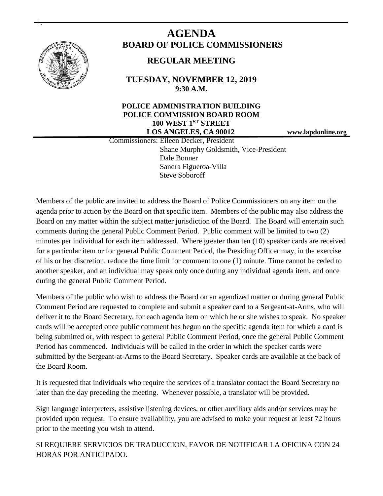

+.

# **AGENDA BOARD OF POLICE COMMISSIONERS**

# **REGULAR MEETING**

**TUESDAY, NOVEMBER 12, 2019 9:30 A.M.**

### **POLICE ADMINISTRATION BUILDING POLICE COMMISSION BOARD ROOM 100 WEST 1ST STREET LOS ANGELES, CA 90012 www.lapdonline.org**

 Commissioners: Eileen Decker, President Shane Murphy Goldsmith, Vice-President Dale Bonner Sandra Figueroa-Villa Steve Soboroff

Members of the public are invited to address the Board of Police Commissioners on any item on the agenda prior to action by the Board on that specific item. Members of the public may also address the Board on any matter within the subject matter jurisdiction of the Board. The Board will entertain such comments during the general Public Comment Period. Public comment will be limited to two (2) minutes per individual for each item addressed. Where greater than ten (10) speaker cards are received for a particular item or for general Public Comment Period, the Presiding Officer may, in the exercise of his or her discretion, reduce the time limit for comment to one (1) minute. Time cannot be ceded to another speaker, and an individual may speak only once during any individual agenda item, and once during the general Public Comment Period.

Members of the public who wish to address the Board on an agendized matter or during general Public Comment Period are requested to complete and submit a speaker card to a Sergeant-at-Arms, who will deliver it to the Board Secretary, for each agenda item on which he or she wishes to speak. No speaker cards will be accepted once public comment has begun on the specific agenda item for which a card is being submitted or, with respect to general Public Comment Period, once the general Public Comment Period has commenced. Individuals will be called in the order in which the speaker cards were submitted by the Sergeant-at-Arms to the Board Secretary. Speaker cards are available at the back of the Board Room.

It is requested that individuals who require the services of a translator contact the Board Secretary no later than the day preceding the meeting. Whenever possible, a translator will be provided.

Sign language interpreters, assistive listening devices, or other auxiliary aids and/or services may be provided upon request. To ensure availability, you are advised to make your request at least 72 hours prior to the meeting you wish to attend.

SI REQUIERE SERVICIOS DE TRADUCCION, FAVOR DE NOTIFICAR LA OFICINA CON 24 HORAS POR ANTICIPADO.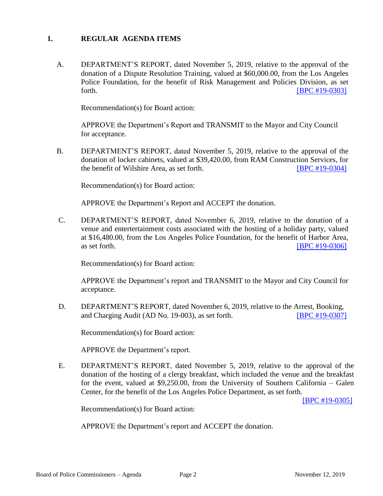#### **1. REGULAR AGENDA ITEMS**

A. DEPARTMENT'S REPORT, dated November 5, 2019, relative to the approval of the donation of a Dispute Resolution Training, valued at \$60,000.00, from the Los Angeles Police Foundation, for the benefit of Risk Management and Policies Division, as set forth. **EXECUTE: EXECUTE: EXECUTE: EXECUTE: EXECUTE: EXECUTE: EXECUTE: EXECUTE: EXECUTE: EXECUTE: EXECUTE: EXECUTE: EXECUTE: EXECUTE: EXECUTE: EXECUTE: EXECUTE: EXECUTE: EXECUTE: EXECU** 

Recommendation(s) for Board action:

APPROVE the Department's Report and TRANSMIT to the Mayor and City Council for acceptance.

B. DEPARTMENT'S REPORT, dated November 5, 2019, relative to the approval of the donation of locker cabinets, valued at \$39,420.00, from RAM Construction Services, for the benefit of Wilshire Area, as set forth. **[\[BPC #19-0304\]](http://www.lapdpolicecom.lacity.org/111219/BPC_19-0304.pdf)** 

Recommendation(s) for Board action:

APPROVE the Department's Report and ACCEPT the donation.

C. DEPARTMENT'S REPORT, dated November 6, 2019, relative to the donation of a venue and entertertainment costs associated with the hosting of a holiday party, valued at \$16,480.00, from the Los Angeles Police Foundation, for the benefit of Harbor Area, as set forth. **IBPC #19-0306** 

Recommendation(s) for Board action:

APPROVE the Department's report and TRANSMIT to the Mayor and City Council for acceptance.

D. DEPARTMENT'S REPORT, dated November 6, 2019, relative to the Arrest, Booking, and Charging Audit (AD No. 19-003), as set forth. **[\[BPC #19-0307\]](http://www.lapdpolicecom.lacity.org/111219/BPC_19-0307.pdf)** 

Recommendation(s) for Board action:

APPROVE the Department's report.

E. DEPARTMENT'S REPORT, dated November 5, 2019, relative to the approval of the donation of the hosting of a clergy breakfast, which included the venue and the breakfast for the event, valued at \$9,250.00, from the University of Southern California – Galen Center, for the benefit of the Los Angeles Police Department, as set forth.

[\[BPC #19-0305\]](http://www.lapdpolicecom.lacity.org/111219/BPC_19-0305.pdf)

Recommendation(s) for Board action:

APPROVE the Department's report and ACCEPT the donation.